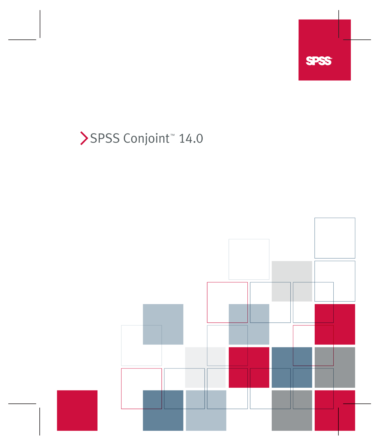

# SPSS Conjoint<sup>™</sup> 14.0

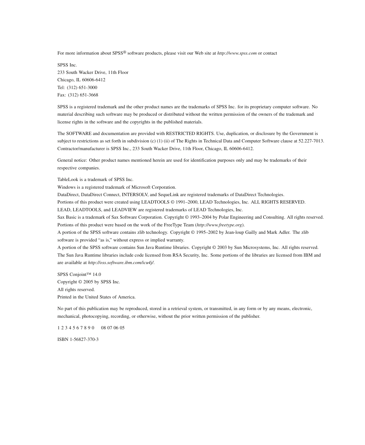For more information about SPSS® software products, please visit our Web site at *http://www.spss.com* or contact

SPSS Inc. 233 South Wacker Drive, 11th Floor Chicago, IL 60606-6412 Tel: (312) 651-3000 Fax: (312) 651-3668

SPSS is a registered trademark and the other product names are the trademarks of SPSS Inc. for its proprietary computer software. No material describing such software may be produced or distributed without the written permission of the owners of the trademark and license rights in the software and the copyrights in the published materials.

The SOFTWARE and documentation are provided with RESTRICTED RIGHTS. Use, duplication, or disclosure by the Government is subject to restrictions as set forth in subdivision (c) (1) (ii) of The Rights in Technical Data and Computer Software clause at 52.227-7013. Contractor/manufacturer is SPSS Inc., 233 South Wacker Drive, 11th Floor, Chicago, IL 60606-6412.

General notice: Other product names mentioned herein are used for identification purposes only and may be trademarks of their respective companies.

TableLook is a trademark of SPSS Inc.

Windows is a registered trademark of Microsoft Corporation.

DataDirect, DataDirect Connect, INTERSOLV, and SequeLink are registered trademarks of DataDirect Technologies.

Portions of this product were created using LEADTOOLS © 1991–2000, LEAD Technologies, Inc. ALL RIGHTS RESERVED.

LEAD, LEADTOOLS, and LEADVIEW are registered trademarks of LEAD Technologies, Inc.

Sax Basic is a trademark of Sax Software Corporation. Copyright © 1993–2004 by Polar Engineering and Consulting. All rights reserved. Portions of this product were based on the work of the FreeType Team (*http://www.freetype.org*).

A portion of the SPSS software contains zlib technology. Copyright © 1995–2002 by Jean-loup Gailly and Mark Adler. The zlib software is provided "as is," without express or implied warranty.

A portion of the SPSS software contains Sun Java Runtime libraries. Copyright © 2003 by Sun Microsystems, Inc. All rights reserved. The Sun Java Runtime libraries include code licensed from RSA Security, Inc. Some portions of the libraries are licensed from IBM and are available at *http://oss.software.ibm.com/icu4j/*.

SPSS Conjoint™ 14.0 Copyright © 2005 by SPSS Inc. All rights reserved. Printed in the United States of America.

No part of this publication may be reproduced, stored in a retrieval system, or transmitted, in any form or by any means, electronic, mechanical, photocopying, recording, or otherwise, without the prior written permission of the publisher.

1 2 3 4 5 6 7 8 9 0 08 07 06 05

ISBN 1-56827-370-3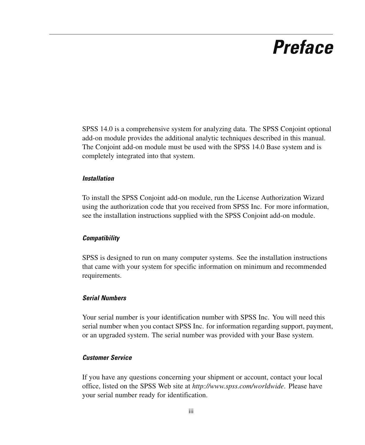# *Preface*

SPSS 14.0 is a comprehensive system for analyzing data. The SPSS Conjoint optional add-on module provides the additional analytic techniques described in this manual. The Conjoint add-on module must be used with the SPSS 14.0 Base system and is completely integrated into that system.

#### *Installation*

To install the SPSS Conjoint add-on module, run the License Authorization Wizard using the authorization code that you received from SPSS Inc. For more information, see the installation instructions supplied with the SPSS Conjoint add-on module.

#### *Compatibility*

SPSS is designed to run on many computer systems. See the installation instructions that came with your system for specific information on minimum and recommended requirements.

#### *Serial Numbers*

Your serial number is your identification number with SPSS Inc. You will need this serial number when you contact SPSS Inc. for information regarding support, payment, or an upgraded system. The serial number was provided with your Base system.

### *Customer Service*

If you have any questions concerning your shipment or account, contact your local office, listed on the SPSS Web site at *http://www.spss.com/worldwide*. Please have your serial number ready for identification.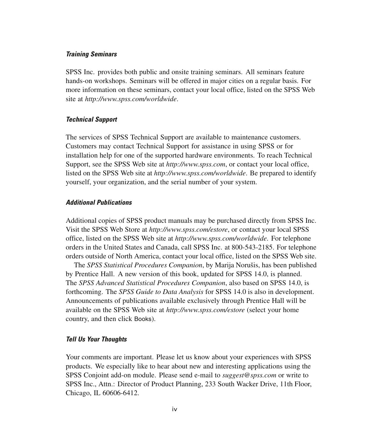#### *Training Seminars*

SPSS Inc. provides both public and onsite training seminars. All seminars feature hands-on workshops. Seminars will be offered in major cities on a regular basis. For more information on these seminars, contact your local office, listed on the SPSS Web site at *http://www.spss.com/worldwide*.

#### *Technical Support*

The services of SPSS Technical Support are available to maintenance customers. Customers may contact Technical Support for assistance in using SPSS or for installation help for one of the supported hardware environments. To reach Technical Support, see the SPSS Web site at *http://www.spss.com*, or contact your local office, listed on the SPSS Web site at *http://www.spss.com/worldwide*. Be prepared to identify yourself, your organization, and the serial number of your system.

#### *Additional Publications*

Additional copies of SPSS product manuals may be purchased directly from SPSS Inc. Visit the SPSS Web Store at *http://www.spss.com/estore*, or contact your local SPSS office, listed on the SPSS Web site at *http://www.spss.com/worldwide*. For telephone orders in the United States and Canada, call SPSS Inc. at 800-543-2185. For telephone orders outside of North America, contact your local office, listed on the SPSS Web site.

The *SPSS Statistical Procedures Companion*, by Marija Norušis, has been published by Prentice Hall. A new version of this book, updated for SPSS 14.0, is planned. The *SPSS Advanced Statistical Procedures Companion*, also based on SPSS 14.0, is forthcoming. The *SPSS Guide to Data Analysis* for SPSS 14.0 is also in development. Announcements of publications available exclusively through Prentice Hall will be available on the SPSS Web site at *http://www.spss.com/estore* (select your home country, and then click Books).

#### *Tell Us Your Thoughts*

Your comments are important. Please let us know about your experiences with SPSS products. We especially like to hear about new and interesting applications using the SPSS Conjoint add-on module. Please send e-mail to *suggest@spss.com* or write to SPSS Inc., Attn.: Director of Product Planning, 233 South Wacker Drive, 11th Floor, Chicago, IL 60606-6412.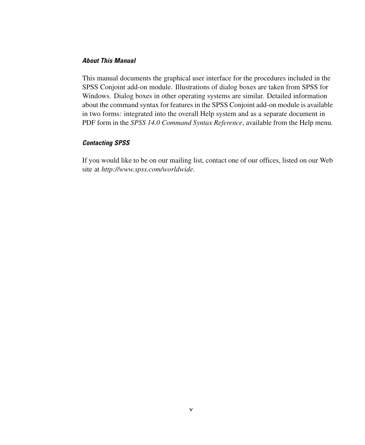### *About This Manual*

This manual documents the graphical user interface for the procedures included in the SPSS Conjoint add-on module. Illustrations of dialog boxes are taken from SPSS for Windows. Dialog boxes in other operating systems are similar. Detailed information about the command syntax for features in the SPSS Conjoint add-on module is available in two forms: integrated into the overall Help system and as a separate document in PDF form in the *SPSS 14.0 Command Syntax Reference*, available from the Help menu.

#### *Contacting SPSS*

If you would like to be on our mailing list, contact one of our offices, listed on our Web site at *http://www.spss.com/worldwide*.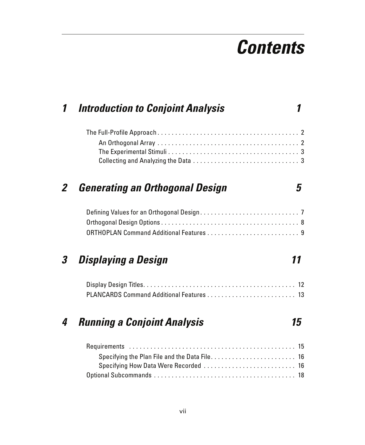# *Contents*

| 1 | <b>Introduction to Conjoint Analysis</b>      |
|---|-----------------------------------------------|
|   |                                               |
|   |                                               |
|   |                                               |
| 2 | <b>Generating an Orthogonal Design</b><br>5   |
|   |                                               |
|   |                                               |
|   |                                               |
| 3 | Displaying a Design<br>11                     |
|   |                                               |
|   |                                               |
| 4 | <b>Running a Conjoint Analysis</b><br>15      |
|   |                                               |
|   | Specifying the Plan File and the Data File 16 |
|   | Specifying How Data Were Recorded  16         |
|   |                                               |
|   |                                               |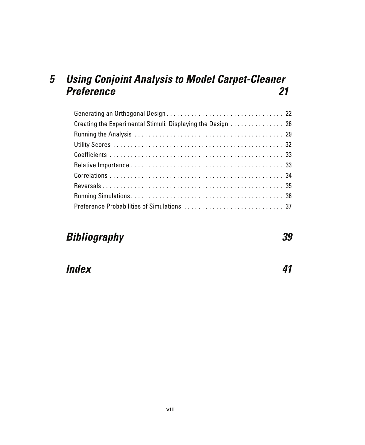# *5 Using Conjoint Analysis to Model Carpet-Cleaner Preference [21](#page-28-0)*

| Creating the Experimental Stimuli: Displaying the Design  26 |  |
|--------------------------------------------------------------|--|
|                                                              |  |
|                                                              |  |
|                                                              |  |
|                                                              |  |
|                                                              |  |
|                                                              |  |
|                                                              |  |
|                                                              |  |

# *Bibliography [39](#page-46-0)*

# *Index [41](#page-48-0)*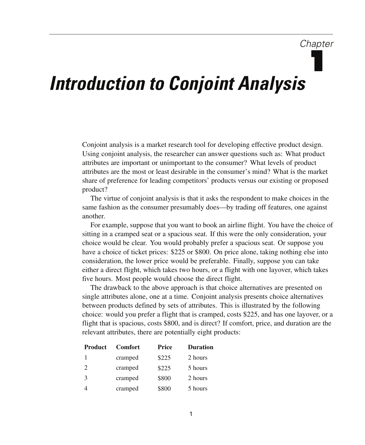# <span id="page-8-0"></span>*Introduction to Conjoint Analysis*

Conjoint analysis is a market research tool for developing effective product design. Using conjoint analysis, the researcher can answer questions such as: What product attributes are important or unimportant to the consumer? What levels of product attributes are the most or least desirable in the consumer's mind? What is the market share of preference for leading competitors' products versus our existing or proposed product?

The virtue of conjoint analysis is that it asks the respondent to make choices in the same fashion as the consumer presumably does—by trading off features, one against another.

For example, suppose that you want to book an airline flight. You have the choice of sitting in a cramped seat or a spacious seat. If this were the only consideration, your choice would be clear. You would probably prefer a spacious seat. Or suppose you have a choice of ticket prices: \$225 or \$800. On price alone, taking nothing else into consideration, the lower price would be preferable. Finally, suppose you can take either a direct flight, which takes two hours, or a flight with one layover, which takes five hours. Most people would choose the direct flight.

The drawback to the above approach is that choice alternatives are presented on single attributes alone, one at a time. Conjoint analysis presents choice alternatives between products defined by sets of attributes. This is illustrated by the following choice: would you prefer a flight that is cramped, costs \$225, and has one layover, or a flight that is spacious, costs \$800, and is direct? If comfort, price, and duration are the relevant attributes, there are potentially eight products:

| <b>Product</b> | <b>Comfort</b> | Price | <b>Duration</b> |
|----------------|----------------|-------|-----------------|
|                | cramped        | \$225 | 2 hours         |
| $\mathfrak{D}$ | cramped        | \$225 | 5 hours         |
| $\mathcal{R}$  | cramped        | \$800 | 2 hours         |
|                | cramped        | \$800 | 5 hours         |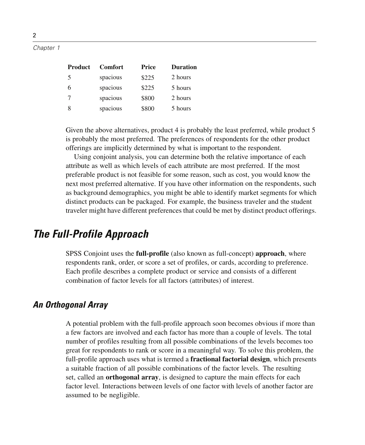<span id="page-9-0"></span>

| <b>Product</b> | <b>Comfort</b> | Price | <b>Duration</b> |
|----------------|----------------|-------|-----------------|
| 5              | spacious       | \$225 | 2 hours         |
| 6              | spacious       | \$225 | 5 hours         |
| 7              | spacious       | \$800 | 2 hours         |
| 8              | spacious       | \$800 | 5 hours         |

Given the above alternatives, product 4 is probably the least preferred, while product 5 is probably the most preferred. The preferences of respondents for the other product offerings are implicitly determined by what is important to the respondent.

Using conjoint analysis, you can determine both the relative importance of each attribute as well as which levels of each attribute are most preferred. If the most preferable product is not feasible for some reason, such as cost, you would know the next most preferred alternative. If you have other information on the respondents, such as background demographics, you might be able to identify market segments for which distinct products can be packaged. For example, the business traveler and the student traveler might have different preferences that could be met by distinct product offerings.

## *The Full-Profile Approach*

SPSS Conjoint uses the **full-profile** (also known as full-concept) **approach**, where respondents rank, order, or score a set of profiles, or cards, according to preference. Each profile describes a complete product or service and consists of a different combination of factor levels for all factors (attributes) of interest.

## *An Orthogonal Array*

A potential problem with the full-profile approach soon becomes obvious if more than a few factors are involved and each factor has more than a couple of levels. The total number of profiles resulting from all possible combinations of the levels becomes too great for respondents to rank or score in a meaningful way. To solve this problem, the full-profile approach uses what is termed a **fractional factorial design**, which presents a suitable fraction of all possible combinations of the factor levels. The resulting set, called an **orthogonal array**, is designed to capture the main effects for each factor level. Interactions between levels of one factor with levels of another factor are assumed to be negligible.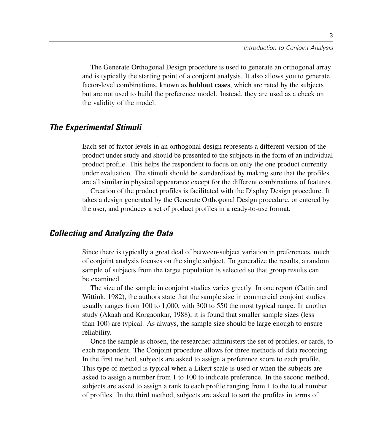*Introduction to Conjoint Analysis*

<span id="page-10-0"></span>The Generate Orthogonal Design procedure is used to generate an orthogonal array and is typically the starting point of a conjoint analysis. It also allows you to generate factor-level combinations, known as **holdout cases**, which are rated by the subjects but are not used to build the preference model. Instead, they are used as a check on the validity of the model.

### *The Experimental Stimuli*

Each set of factor levels in an orthogonal design represents a different version of the product under study and should be presented to the subjects in the form of an individual product profile. This helps the respondent to focus on only the one product currently under evaluation. The stimuli should be standardized by making sure that the profiles are all similar in physical appearance except for the different combinations of features.

Creation of the product profiles is facilitated with the Display Design procedure. It takes a design generated by the Generate Orthogonal Design procedure, or entered by the user, and produces a set of product profiles in a ready-to-use format.

### *Collecting and Analyzing the Data*

Since there is typically a great deal of between-subject variation in preferences, much of conjoint analysis focuses on the single subject. To generalize the results, a random sample of subjects from the target population is selected so that group results can be examined.

The size of the sample in conjoint studies varies greatly. In one report (Cattin and Wittink, 1982), the authors state that the sample size in commercial conjoint studies usually ranges from 100 to 1,000, with 300 to 550 the most typical range. In another study (Akaah and Korgaonkar, 1988), it is found that smaller sample sizes (less than 100) are typical. As always, the sample size should be large enough to ensure reliability.

Once the sample is chosen, the researcher administers the set of profiles, or cards, to each respondent. The Conjoint procedure allows for three methods of data recording. In the first method, subjects are asked to assign a preference score to each profile. This type of method is typical when a Likert scale is used or when the subjects are asked to assign a number from 1 to 100 to indicate preference. In the second method, subjects are asked to assign a rank to each profile ranging from 1 to the total number of profiles. In the third method, subjects are asked to sort the profiles in terms of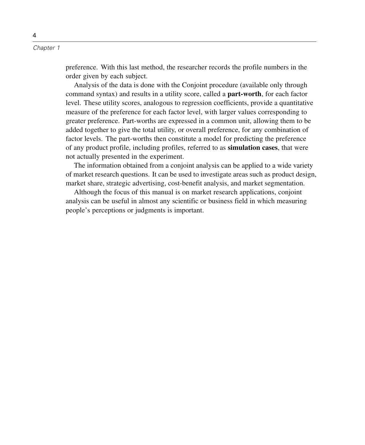<span id="page-11-0"></span>preference. With this last method, the researcher records the profile numbers in the order given by each subject.

Analysis of the data is done with the Conjoint procedure (available only through command syntax) and results in a utility score, called a **part-worth**, for each factor level. These utility scores, analogous to regression coefficients, provide a quantitative measure of the preference for each factor level, with larger values corresponding to greater preference. Part-worths are expressed in a common unit, allowing them to be added together to give the total utility, or overall preference, for any combination of factor levels. The part-worths then constitute a model for predicting the preference of any product profile, including profiles, referred to as **simulation cases**, that were not actually presented in the experiment.

The information obtained from a conjoint analysis can be applied to a wide variety of market research questions. It can be used to investigate areas such as product design, market share, strategic advertising, cost-benefit analysis, and market segmentation.

Although the focus of this manual is on market research applications, conjoint analysis can be useful in almost any scientific or business field in which measuring people's perceptions or judgments is important.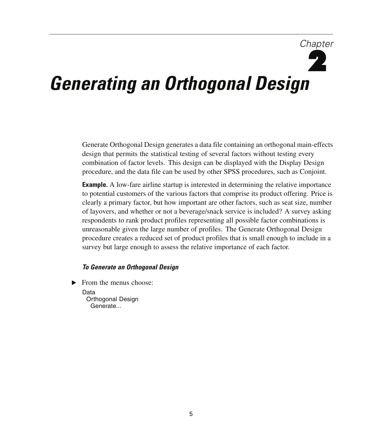# <span id="page-12-0"></span>*Generating an Orthogonal Design*

Generate Orthogonal Design generates a data file containing an orthogonal main-effects design that permits the statistical testing of several factors without testing every combination of factor levels. This design can be displayed with the Display Design procedure, and the data file can be used by other SPSS procedures, such as Conjoint.

**Example.** A low-fare airline startup is interested in determining the relative importance to potential customers of the various factors that comprise its product offering. Price is clearly a primary factor, but how important are other factors, such as seat size, number of layovers, and whether or not a beverage/snack service is included? A survey asking respondents to rank product profiles representing all possible factor combinations is unreasonable given the large number of profiles. The Generate Orthogonal Design procedure creates a reduced set of product profiles that is small enough to include in a survey but large enough to assess the relative importance of each factor.

#### *To Generate an Orthogonal Design*

 $\blacktriangleright$  From the menus choose:

Data Orthogonal Design Generate...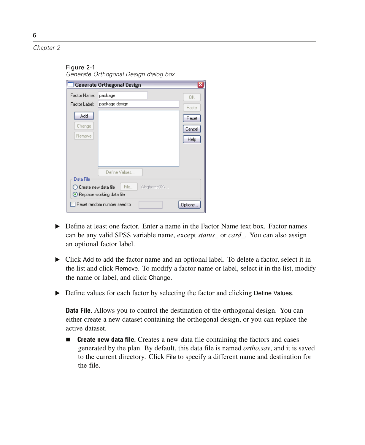#### Figure 2-1

*Generate Orthogonal Design dialog box*

|                      | Generate Orthogonal Design                               | ×       |
|----------------------|----------------------------------------------------------|---------|
| Factor Name:         | package                                                  | 0K      |
| Factor Label:        | package design                                           | Paste   |
| Add                  |                                                          | Reset   |
| Change               |                                                          | Cancel  |
| Remove               |                                                          | Help    |
|                      |                                                          |         |
|                      | Define Values                                            |         |
| Data File            |                                                          |         |
| Create new data file | \\hahome03\<br>File<br>$\odot$ Replace working data file |         |
|                      |                                                          |         |
|                      | Reset random number seed to                              | Options |

- E Define at least one factor. Enter a name in the Factor Name text box. Factor names can be any valid SPSS variable name, except *status\_* or *card\_*. You can also assign an optional factor label.
- E Click Add to add the factor name and an optional label. To delete a factor, select it in the list and click Remove. To modify a factor name or label, select it in the list, modify the name or label, and click Change.
- **EXECUTE:** Define values for each factor by selecting the factor and clicking Define Values.

**Data File.** Allows you to control the destination of the orthogonal design. You can either create a new dataset containing the orthogonal design, or you can replace the active dataset.

**Create new data file.** Creates a new data file containing the factors and cases generated by the plan. By default, this data file is named *ortho.sav*, and it is saved to the current directory. Click File to specify a different name and destination for the file.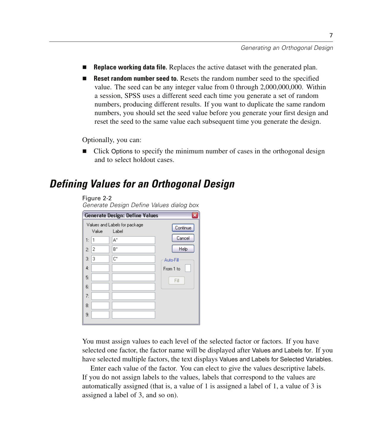- <span id="page-14-0"></span>**Replace working data file.** Replaces the active dataset with the generated plan.
- **Reset random number seed to.** Resets the random number seed to the specified value. The seed can be any integer value from 0 through 2,000,000,000. Within a session, SPSS uses a different seed each time you generate a set of random numbers, producing different results. If you want to duplicate the same random numbers, you should set the seed value before you generate your first design and reset the seed to the same value each subsequent time you generate the design.

Optionally, you can:

 Click Options to specify the minimum number of cases in the orthogonal design and to select holdout cases.

# *Defining Values for an Orthogonal Design*

#### Figure 2-2 *Generate Design Define Values dialog box* **Generate Design: Define Values** Values and Labels for package Continue Value Label Cancel  $1:$  1  $A^*$  $2:2$  $B^*$ Help  $\overline{C}^*$  $3:3$ Auto-Fill  $4:$ From 1 to  $5<sub>i</sub>$ Fill  $6$  $\overline{7}$  $8<sub>i</sub>$  $9<sub>i</sub>$

You must assign values to each level of the selected factor or factors. If you have selected one factor, the factor name will be displayed after Values and Labels for. If you have selected multiple factors, the text displays Values and Labels for Selected Variables.

Enter each value of the factor. You can elect to give the values descriptive labels. If you do not assign labels to the values, labels that correspond to the values are automatically assigned (that is, a value of 1 is assigned a label of 1, a value of 3 is assigned a label of 3, and so on).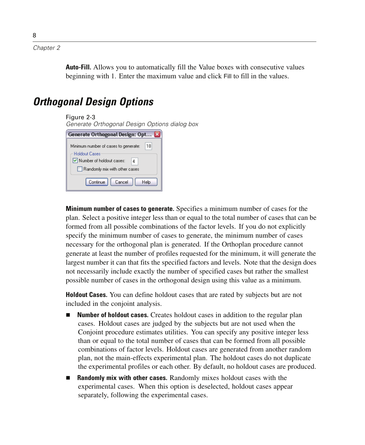<span id="page-15-0"></span>**Auto-Fill.** Allows you to automatically fill the Value boxes with consecutive values beginning with 1. Enter the maximum value and click Fill to fill in the values.

## *Orthogonal Design Options*

#### Figure 2-3

*Generate Orthogonal Design Options dialog box*

| Generate Orthogonal Design: Opt<br>×                               |  |  |
|--------------------------------------------------------------------|--|--|
| 18<br>Minimum number of cases to generate:<br><b>Holdout Cases</b> |  |  |
| V Number of holdout cases:<br>4                                    |  |  |
| Randomly mix with other cases                                      |  |  |
| Continue<br>Cancel<br>Help                                         |  |  |

**Minimum number of cases to generate.** Specifies a minimum number of cases for the plan. Select a positive integer less than or equal to the total number of cases that can be formed from all possible combinations of the factor levels. If you do not explicitly specify the minimum number of cases to generate, the minimum number of cases necessary for the orthogonal plan is generated. If the Orthoplan procedure cannot generate at least the number of profiles requested for the minimum, it will generate the largest number it can that fits the specified factors and levels. Note that the design does not necessarily include exactly the number of specified cases but rather the smallest possible number of cases in the orthogonal design using this value as a minimum.

**Holdout Cases.** You can define holdout cases that are rated by subjects but are not included in the conjoint analysis.

- **Number of holdout cases.** Creates holdout cases in addition to the regular plan cases. Holdout cases are judged by the subjects but are not used when the Conjoint procedure estimates utilities. You can specify any positive integer less than or equal to the total number of cases that can be formed from all possible combinations of factor levels. Holdout cases are generated from another random plan, not the main-effects experimental plan. The holdout cases do not duplicate the experimental profiles or each other. By default, no holdout cases are produced.
- **Randomly mix with other cases.** Randomly mixes holdout cases with the experimental cases. When this option is deselected, holdout cases appear separately, following the experimental cases.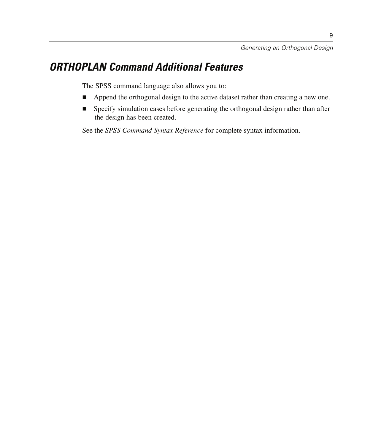# <span id="page-16-0"></span>*ORTHOPLAN Command Additional Features*

The SPSS command language also allows you to:

- Append the orthogonal design to the active dataset rather than creating a new one.
- Specify simulation cases before generating the orthogonal design rather than after the design has been created.

See the *SPSS Command Syntax Reference* for complete syntax information.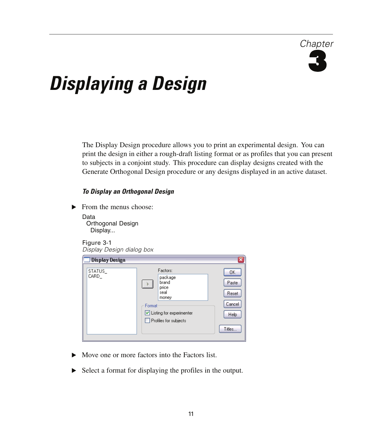# <span id="page-18-0"></span>*Displaying a Design*

The Display Design procedure allows you to print an experimental design. You can print the design in either a rough-draft listing format or as profiles that you can present to subjects in a conjoint study. This procedure can display designs created with the Generate Orthogonal Design procedure or any designs displayed in an active dataset.

### *To Display an Orthogonal Design*

 $\blacktriangleright$  From the menus choose: Data

Orthogonal Design Display...

#### Figure 3-1 *Display Design dialog box*

| x<br><b>Display Design</b>                                                                                                                                                                          |
|-----------------------------------------------------------------------------------------------------------------------------------------------------------------------------------------------------|
|                                                                                                                                                                                                     |
| Factors:<br>STATUS_<br>OK<br>CARD<br>package<br>brand<br>Paste<br>price<br>seal<br>Reset<br>money<br>Cancel<br>Format<br>Listing for experimenter<br><b>Help</b><br>Profiles for subjects<br>Titles |

- E Move one or more factors into the Factors list.
- Exercise Select a format for displaying the profiles in the output.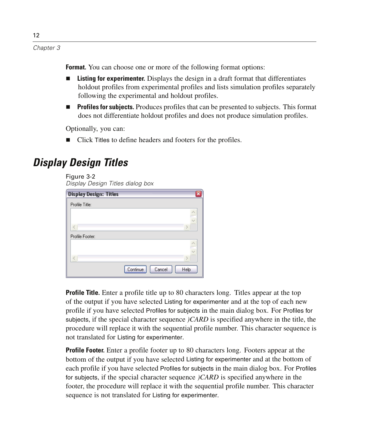<span id="page-19-0"></span>**Format.** You can choose one or more of the following format options:

- **Listing for experimenter.** Displays the design in a draft format that differentiates holdout profiles from experimental profiles and lists simulation profiles separately following the experimental and holdout profiles.
- **Profiles for subjects.** Produces profiles that can be presented to subjects. This format does not differentiate holdout profiles and does not produce simulation profiles.

Optionally, you can:

■ Click Titles to define headers and footers for the profiles.

# *Display Design Titles*

Figure 3-2

*Display Design Titles dialog box*

| <b>Display Design: Titles</b> |                            | × |
|-------------------------------|----------------------------|---|
| Profile Title:                |                            |   |
|                               |                            |   |
|                               |                            |   |
| Profile Footer:               |                            |   |
|                               |                            |   |
|                               |                            |   |
|                               |                            |   |
|                               | Continue<br>Help<br>Cancel |   |

**Profile Title.** Enter a profile title up to 80 characters long. Titles appear at the top of the output if you have selected Listing for experimenter and at the top of each new profile if you have selected Profiles for subjects in the main dialog box. For Profiles for subjects, if the special character sequence *)CARD* is specified anywhere in the title, the procedure will replace it with the sequential profile number. This character sequence is not translated for Listing for experimenter.

**Profile Footer.** Enter a profile footer up to 80 characters long. Footers appear at the bottom of the output if you have selected Listing for experimenter and at the bottom of each profile if you have selected Profiles for subjects in the main dialog box. For Profiles for subjects, if the special character sequence *)CARD* is specified anywhere in the footer, the procedure will replace it with the sequential profile number. This character sequence is not translated for Listing for experimenter.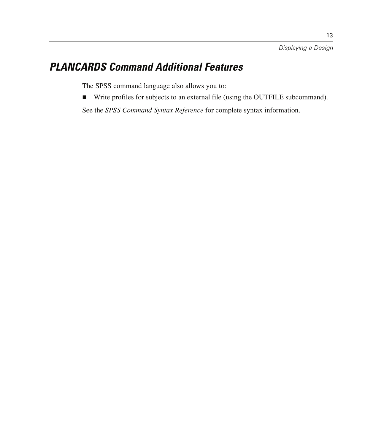13

# <span id="page-20-0"></span>*PLANCARDS Command Additional Features*

The SPSS command language also allows you to:

Write profiles for subjects to an external file (using the OUTFILE subcommand).

See the *SPSS Command Syntax Reference* for complete syntax information.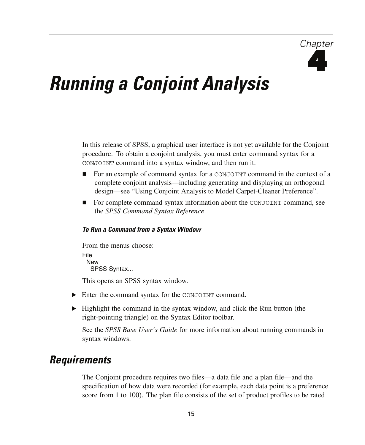# <span id="page-22-0"></span>*Running a Conjoint Analysis*

In this release of SPSS, a graphical user interface is not yet available for the Conjoint procedure. To obtain a conjoint analysis, you must enter command syntax for a CONJOINT command into a syntax window, and then run it.

- For an example of command syntax for a CONJOINT command in the context of a complete conjoint analysis—including generating and displaying an orthogonal design—see ["Using Conjo](#page-28-0)int Analysis [to Model Carpet-Cleaner Preference"](#page-28-0).
- For complete command syntax information about the CONJOINT command, see the *SPSS Command Syntax Reference*.

### *To Run a Command from a Syntax Window*

From the menus choose: File New SPSS Syntax...

This opens an SPSS syntax window.

- $\blacktriangleright$  Enter the command syntax for the CONJOINT command.
- $\blacktriangleright$  Highlight the command in the syntax window, and click the Run button (the right-pointing triangle) on the Syntax Editor toolbar.

See the *SPSS Base User's Guide* for more information about running commands in syntax windows.

## *Requirements*

The Conjoint procedure requires two files—a data file and a plan file—and the specification of how data were recorded (for example, each data point is a preference score from 1 to 100). The plan file consists of the set of product profiles to be rated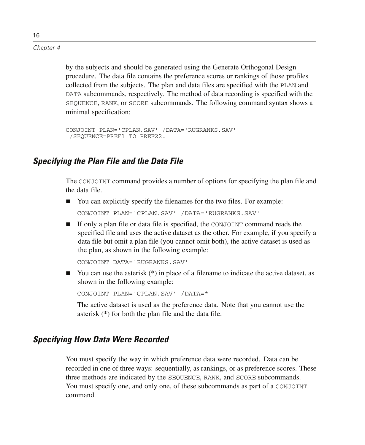<span id="page-23-0"></span>by the subjects and should be generated using the [Generate Orthogonal Design](#page-12-0) procedure. The data file contains the preference scores or rankings of those profiles collected from the subjects. The plan and data files are specified with the PLAN and DATA subcommands, respectively. The method of data recording is specified with the SEQUENCE, RANK, or SCORE subcommands. The following command syntax shows a minimal specification:

```
CONJOINT PLAN='CPLAN.SAV' /DATA='RUGRANKS.SAV'
 /SEQUENCE=PREF1 TO PREF22.
```
### *Specifying the Plan File and the Data File*

The CONJOINT command provides a number of options for specifying the plan file and the data file.

■ You can explicitly specify the filenames for the two files. For example:

CONJOINT PLAN='CPLAN.SAV' /DATA='RUGRANKS.SAV'

If only a plan file or data file is specified, the CONJOINT command reads the specified file and uses the active dataset as the other. For example, if you specify a data file but omit a plan file (you cannot omit both), the active dataset is used as the plan, as shown in the following example:

CONJOINT DATA='RUGRANKS.SAV'

 $\blacksquare$  You can use the asterisk (\*) in place of a filename to indicate the active dataset, as shown in the following example:

```
CONJOINT PLAN='CPLAN.SAV' /DATA=*
```
The active dataset is used as the preference data. Note that you cannot use the asterisk (\*) for both the plan file and the data file.

### *Specifying How Data Were Recorded*

You must specify the way in which preference data were recorded. Data can be recorded in one of three ways: sequentially, as rankings, or as preference scores. These three methods are indicated by the SEQUENCE, RANK, and SCORE subcommands. You must specify one, and only one, of these subcommands as part of a CONJOINT command.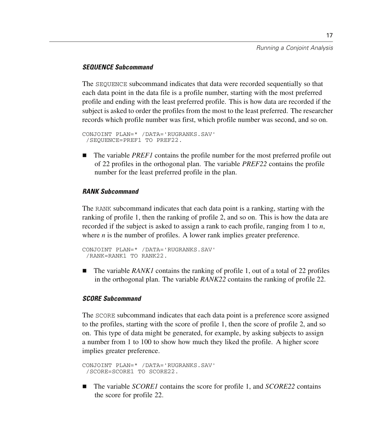*Running a Conjoint Analysis*

### *SEQUENCE Subcommand*

The SEQUENCE subcommand indicates that data were recorded sequentially so that each data point in the data file is a profile number, starting with the most preferred profile and ending with the least preferred profile. This is how data are recorded if the subject is asked to order the profiles from the most to the least preferred. The researcher records which profile number was first, which profile number was second, and so on.

```
CONJOINT PLAN=* /DATA='RUGRANKS.SAV'
 /SEQUENCE=PREF1 TO PREF22.
```
 The variable *PREF1* contains the profile number for the most preferred profile out of 22 profiles in the orthogonal plan. The variable *PREF22* contains the profile number for the least preferred profile in the plan.

### *RANK Subcommand*

The RANK subcommand indicates that each data point is a ranking, starting with the ranking of profile 1, then the ranking of profile 2, and so on. This is how the data are recorded if the subject is asked to assign a rank to each profile, ranging from 1 to *n*, where *n* is the number of profiles. A lower rank implies greater preference.

CONJOINT PLAN=\* /DATA='RUGRANKS.SAV' /RANK=RANK1 TO RANK22.

 The variable *RANK1* contains the ranking of profile 1, out of a total of 22 profiles in the orthogonal plan. The variable *RANK22* contains the ranking of profile 22.

#### *SCORE Subcommand*

The SCORE subcommand indicates that each data point is a preference score assigned to the profiles, starting with the score of profile 1, then the score of profile 2, and so on. This type of data might be generated, for example, by asking subjects to assign a number from 1 to 100 to show how much they liked the profile. A higher score implies greater preference.

```
CONJOINT PLAN=* /DATA='RUGRANKS.SAV'
 /SCORE=SCORE1 TO SCORE22.
```
 The variable *SCORE1* contains the score for profile 1, and *SCORE22* contains the score for profile 22.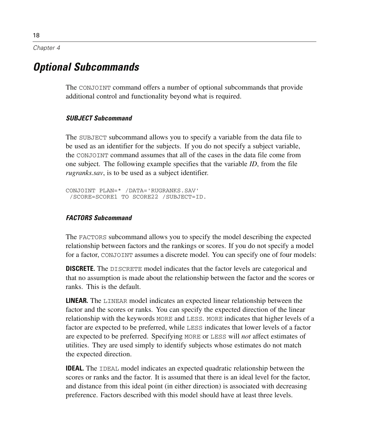# <span id="page-25-0"></span>*Optional Subcommands*

The CONJOINT command offers a number of optional subcommands that provide additional control and functionality beyond what is required.

### *SUBJECT Subcommand*

The SUBJECT subcommand allows you to specify a variable from the data file to be used as an identifier for the subjects. If you do not specify a subject variable, the CONJOINT command assumes that all of the cases in the data file come from one subject. The following example specifies that the variable *ID*, from the file *rugranks.sav*, is to be used as a subject identifier.

CONJOINT PLAN=\* /DATA='RUGRANKS.SAV' /SCORE=SCORE1 TO SCORE22 /SUBJECT=ID.

### *FACTORS Subcommand*

The FACTORS subcommand allows you to specify the model describing the expected relationship between factors and the rankings or scores. If you do not specify a model for a factor, CONJOINT assumes a discrete model. You can specify one of four models:

**DISCRETE.** The DISCRETE model indicates that the factor levels are categorical and that no assumption is made about the relationship between the factor and the scores or ranks. This is the default.

**LINEAR.** The LINEAR model indicates an expected linear relationship between the factor and the scores or ranks. You can specify the expected direction of the linear relationship with the keywords MORE and LESS. MORE indicates that higher levels of a factor are expected to be preferred, while LESS indicates that lower levels of a factor are expected to be preferred. Specifying MORE or LESS will *not* affect estimates of utilities. They are used simply to identify subjects whose estimates do not match the expected direction.

**IDEAL.** The IDEAL model indicates an expected quadratic relationship between the scores or ranks and the factor. It is assumed that there is an ideal level for the factor, and distance from this ideal point (in either direction) is associated with decreasing preference. Factors described with this model should have at least three levels.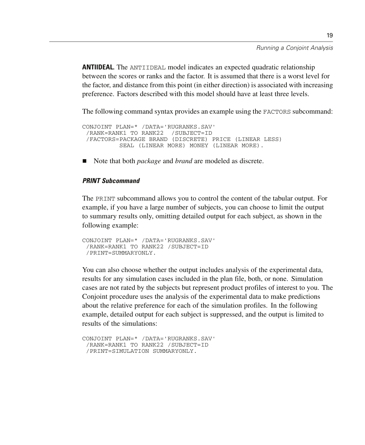<span id="page-26-0"></span>**ANTIIDEAL.** The ANTIIDEAL model indicates an expected quadratic relationship between the scores or ranks and the factor. It is assumed that there is a worst level for the factor, and distance from this point (in either direction) is associated with increasing preference. Factors described with this model should have at least three levels.

The following command syntax provides an example using the FACTORS subcommand:

```
CONJOINT PLAN=* /DATA='RUGRANKS.SAV'
 /RANK=RANK1 TO RANK22 /SUBJECT=ID
 /FACTORS=PACKAGE BRAND (DISCRETE) PRICE (LINEAR LESS)
          SEAL (LINEAR MORE) MONEY (LINEAR MORE).
```
■ Note that both *package* and *brand* are modeled as discrete.

### *PRINT Subcommand*

The PRINT subcommand allows you to control the content of the tabular output. For example, if you have a large number of subjects, you can choose to limit the output to summary results only, omitting detailed output for each subject, as shown in the following example:

```
CONJOINT PLAN=* /DATA='RUGRANKS.SAV'
 /RANK=RANK1 TO RANK22 /SUBJECT=ID
 /PRINT=SUMMARYONLY.
```
You can also choose whether the output includes analysis of the experimental data, results for any simulation cases included in the plan file, both, or none. Simulation cases are not rated by the subjects but represent product profiles of interest to you. The Conjoint procedure uses the analysis of the experimental data to make predictions about the relative preference for each of the simulation profiles. In the following example, detailed output for each subject is suppressed, and the output is limited to results of the simulations:

```
CONJOINT PLAN=* /DATA='RUGRANKS.SAV'
 /RANK=RANK1 TO RANK22 /SUBJECT=ID
 /PRINT=SIMULATION SUMMARYONLY.
```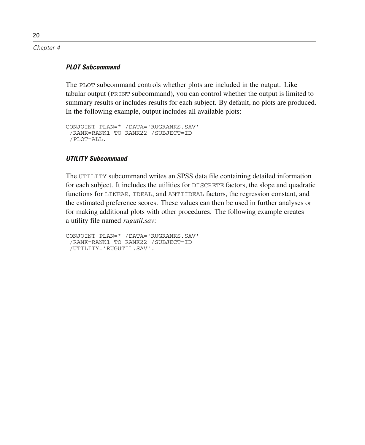#### *PLOT Subcommand*

The PLOT subcommand controls whether plots are included in the output. Like tabular output (PRINT subcommand), you can control whether the output is limited to summary results or includes results for each subject. By default, no plots are produced. In the following example, output includes all available plots:

```
CONJOINT PLAN=* /DATA='RUGRANKS.SAV'
 /RANK=RANK1 TO RANK22 /SUBJECT=ID
 /PLOT=ALL.
```
### *UTILITY Subcommand*

The UTILITY subcommand writes an SPSS data file containing detailed information for each subject. It includes the utilities for DISCRETE factors, the slope and quadratic functions for LINEAR, IDEAL, and ANTIIDEAL factors, the regression constant, and the estimated preference scores. These values can then be used in further analyses or for making additional plots with other procedures. The following example creates a utility file named *rugutil.sav*:

```
CONJOINT PLAN=* /DATA='RUGRANKS.SAV'
/RANK=RANK1 TO RANK22 /SUBJECT=ID
/UTILITY='RUGUTIL.SAV'.
```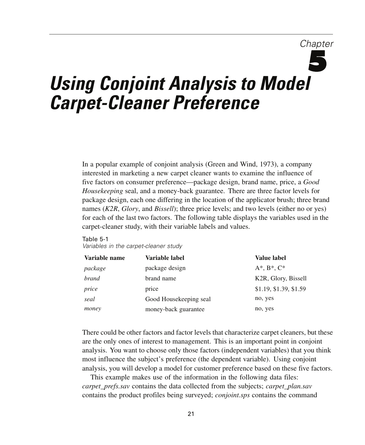# <span id="page-28-0"></span>*Using Conjoint Analysis to Model Carpet-Cleaner Preference*

In a popular example of conjoint analysis (Green and Wind, 1973), a company interested in marketing a new carpet cleaner wants to examine the influence of five factors on consumer preference—package design, brand name, price, a *Good Housekeeping* seal, and a money-back guarantee. There are three factor levels for package design, each one differing in the location of the applicator brush; three brand names (*K2R*, *Glory*, and *Bissell*); three price levels; and two levels (either no or yes) for each of the last two factors. The following table displays the variables used in the carpet-cleaner study, with their variable labels and values.

## Table 5-1

*Variables in the carpet-cleaner study*

| Variable name | Variable label         | Value label                      |
|---------------|------------------------|----------------------------------|
| package       | package design         | $A^*, B^*, C^*$                  |
| <i>brand</i>  | brand name             | K <sub>2</sub> R, Glory, Bissell |
| price         | price                  | \$1.19, \$1.39, \$1.59           |
| seal          | Good Housekeeping seal | no, yes                          |
| money         | money-back guarantee   | no, yes                          |

There could be other factors and factor levels that characterize carpet cleaners, but these are the only ones of interest to management. This is an important point in conjoint analysis. You want to choose only those factors (independent variables) that you think most influence the subject's preference (the dependent variable). Using conjoint analysis, you will develop a model for customer preference based on these five factors.

This example makes use of the information in the following data files: *carpet\_prefs.sav* contains the data collected from the subjects; *carpet\_plan.sav* contains the product profiles being surveyed; *conjoint.sps* contains the command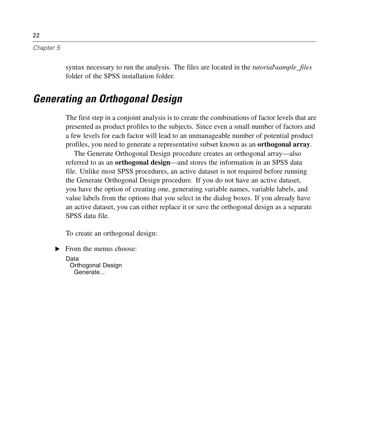<span id="page-29-0"></span>22

syntax necessary to run the analysis. The files are located in the *tutorial\sample\_files* folder of the SPSS installation folder.

## *Generating an Orthogonal Design*

The first step in a conjoint analysis is to create the combinations of factor levels that are presented as product profiles to the subjects. Since even a small number of factors and a few levels for each factor will lead to an unmanageable number of potential product profiles, you need to generate a representative subset known as an **orthogonal array**.

The Generate Orthogonal Design procedure creates an orthogonal array—also referred to as an **orthogonal design**—and stores the information in an SPSS data file. Unlike most SPSS procedures, an active dataset is not required before running the Generate Orthogonal Design procedure. If you do not have an active dataset, you have the option of creating one, generating variable names, variable labels, and value labels from the options that you select in the dialog boxes. If you already have an active dataset, you can either replace it or save the orthogonal design as a separate SPSS data file.

To create an orthogonal design:

 $\blacktriangleright$  From the menus choose: Data Orthogonal Design Generate...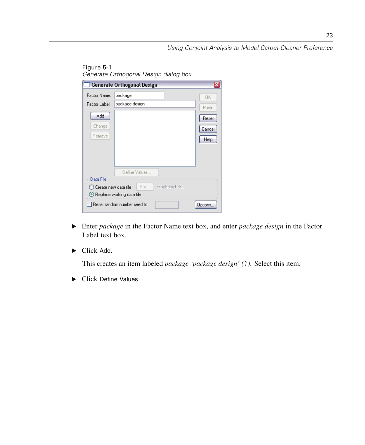*Using Conjoint Analysis to Model Carpet-Cleaner Preference*

| Figure 5-1 |                                       |  |  |
|------------|---------------------------------------|--|--|
|            | Generate Orthogonal Design dialog box |  |  |

|                      | <b>Generate Orthogonal Design</b> | $\overline{\mathbf{x}}$ |
|----------------------|-----------------------------------|-------------------------|
| Factor Name:         | package                           | 0K                      |
| Factor Label:        | package design                    | Paste                   |
| Add                  |                                   | Reset                   |
| Change               |                                   | Cancel                  |
| Remove               |                                   | Help                    |
|                      |                                   |                         |
|                      |                                   |                         |
|                      | Define Values                     |                         |
| Data File            |                                   |                         |
| Create new data file | File<br>\\hqhome03\               |                         |
|                      | Replace working data file         |                         |
|                      | Reset random number seed to       | Options.                |

- **Enter** *package* in the Factor Name text box, and enter *package design* in the Factor Label text box.
- $\blacktriangleright$  Click Add.

This creates an item labeled *package 'package design' (?)*. Select this item.

 $\blacktriangleright$  Click Define Values.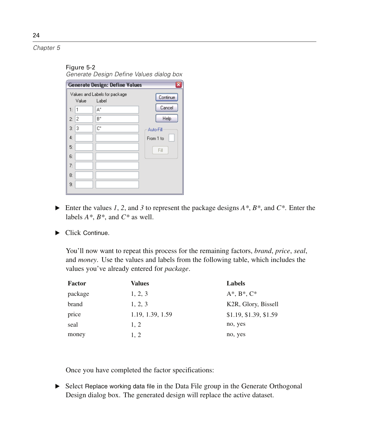### Figure 5-2

*Generate Design Define Values dialog box*

| ×<br><b>Generate Design: Define Values</b> |                                        |           |  |  |
|--------------------------------------------|----------------------------------------|-----------|--|--|
| Value                                      | Values and Labels for package<br>Label | Continue  |  |  |
| 11<br>1:                                   | A*                                     | Cancel    |  |  |
| 2<br>2:                                    | B*                                     | Help      |  |  |
| 3 <sub>i</sub><br>3                        | C*                                     | Auto-Fill |  |  |
| 4:                                         |                                        | From 1 to |  |  |
| 5 <sub>c</sub>                             |                                        | Fill      |  |  |
| 6:                                         |                                        |           |  |  |
| 7:                                         |                                        |           |  |  |
| 8:                                         |                                        |           |  |  |
| 9:                                         |                                        |           |  |  |
|                                            |                                        |           |  |  |

- Enter the values 1, 2, and 3 to represent the package designs  $A^*$ ,  $B^*$ , and  $C^*$ . Enter the labels *A\**, *B\**, and *C\** as well.
- Click Continue.

You'll now want to repeat this process for the remaining factors, *brand*, *price*, *seal*, and *money*. Use the values and labels from the following table, which includes the values you've already entered for *package*.

| Factor  | <b>Values</b>    | <b>Labels</b>                    |
|---------|------------------|----------------------------------|
| package | 1, 2, 3          | $A^*, B^*, C^*$                  |
| brand   | 1, 2, 3          | K <sub>2</sub> R, Glory, Bissell |
| price   | 1.19, 1.39, 1.59 | \$1.19, \$1.39, \$1.59           |
| seal    | 1, 2             | no, yes                          |
| money   | 1, 2             | no, yes                          |
|         |                  |                                  |

Once you have completed the factor specifications:

Exercise Select Replace working data file in the Data File group in the Generate Orthogonal Design dialog box. The generated design will replace the active dataset.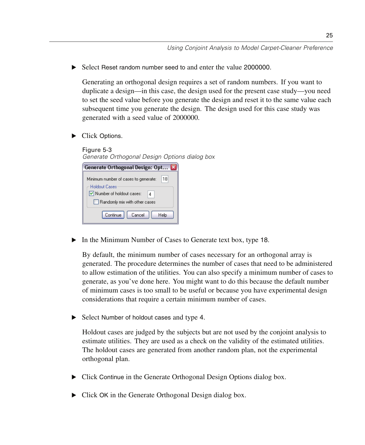Exercise Select Reset random number seed to and enter the value 2000000.

Generating an orthogonal design requires a set of random numbers. If you want to duplicate a design—in this case, the design used for the present case study—you need to set the seed value before you generate the design and reset it to the same value each subsequent time you generate the design. The design used for this case study was generated with a seed value of 2000000.

 $\blacktriangleright$  Click Options.

### Figure 5-3

*Generate Orthogonal Design Options dialog box*

| Generate Orthogonal Design: Opt<br>B                               |
|--------------------------------------------------------------------|
| Minimum number of cases to generate:<br>18<br><b>Holdout Cases</b> |
| V Number of holdout cases:<br>4                                    |
| Randomly mix with other cases                                      |
| Continue<br>Cancel<br>Help                                         |

 $\triangleright$  In the Minimum Number of Cases to Generate text box, type 18.

By default, the minimum number of cases necessary for an orthogonal array is generated. The procedure determines the number of cases that need to be administered to allow estimation of the utilities. You can also specify a minimum number of cases to generate, as you've done here. You might want to do this because the default number of minimum cases is too small to be useful or because you have experimental design considerations that require a certain minimum number of cases.

 $\triangleright$  Select Number of holdout cases and type 4.

Holdout cases are judged by the subjects but are not used by the conjoint analysis to estimate utilities. They are used as a check on the validity of the estimated utilities. The holdout cases are generated from another random plan, not the experimental orthogonal plan.

- **Example 2** Click Continue in the Generate Orthogonal Design Options dialog box.
- $\triangleright$  Click OK in the Generate Orthogonal Design dialog box.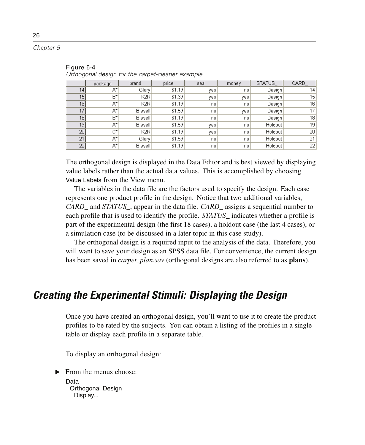<span id="page-33-0"></span>

| Chapter 5 |  |
|-----------|--|
|-----------|--|

|                 | package | brand           | price  | seal | money | <b>STATUS</b> | CARD |
|-----------------|---------|-----------------|--------|------|-------|---------------|------|
| 14,             | $A^*$   | Glory           | \$1.19 | yes. | no.   | Design        | 14   |
| 15 <sup>1</sup> | B*      | K <sub>2R</sub> | \$1.39 | yes. | yes.  | Design        | 15   |
| 16              | $A^*$   | K <sub>2R</sub> | \$1.19 | no.  | no.   | Design        | 16   |
| 17              | $A^*$   | Bissell         | \$1.59 | no   | yes   | Design        | 17   |
| 18              | B*      | Bissell         | \$1.19 | no   | no.   | Design        | 18   |
| 19 <sub>1</sub> | $A^*$   | Bissell         | \$1.59 | yes. | no.   | Holdout       | 19   |
| 20 <sub>l</sub> | C*      | K2R             | \$1.19 | yes. | no.   | Holdout       | 20   |
| 21              | $A^*$   | Glory           | \$1.59 | no   | no.   | Holdout       | 21   |
| 22              | $A^*$   | Bissell         | \$1.19 | no.  | no.   | Holdout       | 22   |

| Figure 5-4                                       |  |  |  |  |
|--------------------------------------------------|--|--|--|--|
| Orthogonal design for the carpet-cleaner example |  |  |  |  |

The orthogonal design is displayed in the Data Editor and is best viewed by displaying value labels rather than the actual data values. This is accomplished by choosing Value Labels from the View menu.

The variables in the data file are the factors used to specify the design. Each case represents one product profile in the design. Notice that two additional variables, *CARD\_* and *STATUS\_*, appear in the data file. *CARD\_* assigns a sequential number to each profile that is used to identify the profile. *STATUS\_* indicates whether a profile is part of the experimental design (the first 18 cases), a holdout case (the last 4 cases), or a simulation case (to be discussed in a later topic in this case study).

The orthogonal design is a required input to the analysis of the data. Therefore, you will want to save your design as an SPSS data file. For convenience, the current design has been saved in *carpet\_plan.sav* (orthogonal designs are also referred to as **plans**).

## *Creating the Experimental Stimuli: Displaying the Design*

Once you have created an orthogonal design, you'll want to use it to create the product profiles to be rated by the subjects. You can obtain a listing of the profiles in a single table or display each profile in a separate table.

To display an orthogonal design:

 $\blacktriangleright$  From the menus choose:

Data Orthogonal Design Display...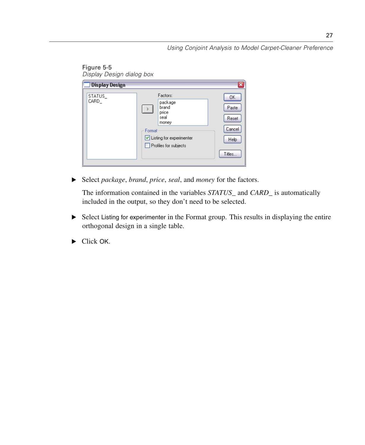*Using Conjoint Analysis to Model Carpet-Cleaner Preference*



| <b>Display Design</b> |                                                                                                                       | x                                                |
|-----------------------|-----------------------------------------------------------------------------------------------------------------------|--------------------------------------------------|
| STATUS_<br>CARD_      | Factors:<br>package<br>brand<br>price<br>seal<br>money<br>Format<br>Listing for experimenter<br>Profiles for subjects | OK<br>Paste<br>Reset<br>Cancel<br>Help<br>Titles |

E Select *package*, *brand*, *price*, *seal*, and *money* for the factors.

The information contained in the variables *STATUS\_* and *CARD\_* is automatically included in the output, so they don't need to be selected.

- E Select Listing for experimenter in the Format group. This results in displaying the entire orthogonal design in a single table.
- $\blacktriangleright$  Click OK.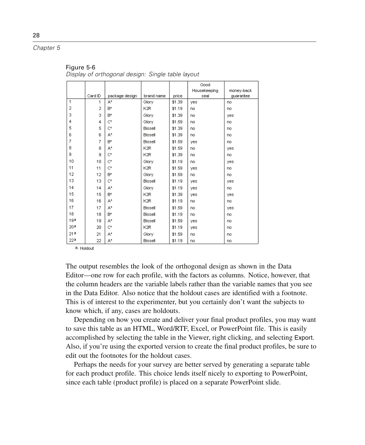| Chapter 5 |
|-----------|
|-----------|

|                 |                |                |                |        | Good         |            |
|-----------------|----------------|----------------|----------------|--------|--------------|------------|
|                 |                |                |                |        | Housekeeping | money-back |
|                 | Card ID        | package design | brand name     | price  | seal         | quarantee  |
| 1               | 1              | A*             | Glory          | \$1.39 | yes          | no.        |
| 2               | $\overline{2}$ | B*             | K2R            | \$1.19 | no.          | no.        |
| 3               | 3              | B*             | Glory          | \$1.39 | no           | ves        |
| 4               | 4              | C*             | Glory          | \$1.59 | no           | no         |
| 5               | 5              | C*             | <b>Bissell</b> | \$1.39 | no           | no.        |
| 6               | 6              | A*             | <b>Bissell</b> | \$1.39 | no           | DO.        |
| 7               | 7              | B*             | <b>Bissell</b> | \$1.59 | yes          | no.        |
| 8               | 8              | A*             | K2R            | \$1.59 | DO.          | ves        |
| 9               | 9              | C*             | K2R            | \$1.39 | no           | DO.        |
| 10              | 10             | $C^*$          | Glory          | \$1.19 | no           | ves        |
| 11              | 11             | $C^*$          | K2R            | \$1.59 | yes          | no.        |
| 12              | 12             | B*             | Glory          | \$1.59 | no.          | no.        |
| 13              | 13             | $C^*$          | <b>Bissell</b> | \$1.19 | yes          | yes        |
| 14              | 14             | A*             | Glory          | \$1.19 | yes          | no.        |
| 15              | 15             | B*             | K2R            | \$1.39 | yes          | yes        |
| 16              | 16             | A*             | K2R            | \$1.19 | no.          | no.        |
| 17              | 17             | A*             | <b>Bissell</b> | \$1.59 | no.          | yes        |
| 18              | 18             | B*             | <b>Bissell</b> | \$1.19 | no           | no.        |
| 19 <sup>3</sup> | 19             | A*             | <b>Bissell</b> | \$1.59 | yes          | DO.        |
| 20 <sup>3</sup> | 20             | $C^*$          | K2R            | \$1.19 | yes          | no         |
| 21 <sup>a</sup> | 21             | A*             | Glory          | \$1.59 | no           | no.        |
| 22a             | 22             | A*             | <b>Bissell</b> | \$1.19 | no           | no         |

Figure 5-6 *Display of orthogonal design: Single table layout*

a. Holdout

The output resembles the look of the orthogonal design as shown in the Data Editor—one row for each profile, with the factors as columns. Notice, however, that the column headers are the variable labels rather than the variable names that you see in the Data Editor. Also notice that the holdout cases are identified with a footnote. This is of interest to the experimenter, but you certainly don't want the subjects to know which, if any, cases are holdouts.

Depending on how you create and deliver your final product profiles, you may want to save this table as an HTML, Word/RTF, Excel, or PowerPoint file. This is easily accomplished by selecting the table in the Viewer, right clicking, and selecting Export. Also, if you're using the exported version to create the final product profiles, be sure to edit out the footnotes for the holdout cases.

Perhaps the needs for your survey are better served by generating a separate table for each product profile. This choice lends itself nicely to exporting to PowerPoint, since each table (product profile) is placed on a separate PowerPoint slide.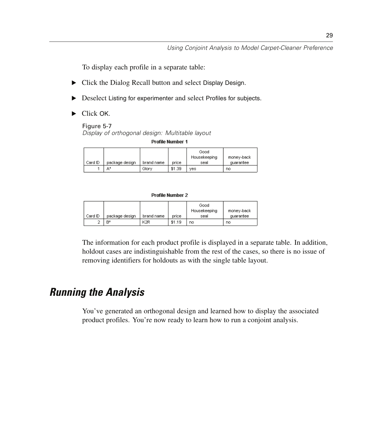*Using Conjoint Analysis to Model Carpet-Cleaner Preference*

<span id="page-36-0"></span>To display each profile in a separate table:

- E Click the Dialog Recall button and select Display Design.
- **EXECUTE:** Deselect Listing for experimenter and select Profiles for subjects.
- $\blacktriangleright$  Click OK.

Figure 5-7 *Display of orthogonal design: Multitable layout*

**Profile Number 1** 

| Card ID | package design | brand name | price  | Good<br>Housekeeping<br>seal | money-back<br>quarantee |
|---------|----------------|------------|--------|------------------------------|-------------------------|
|         | A*             | Glory      | \$1.39 | ves                          | no                      |

#### **Profile Number 2**

| Card ID | package design | brand name | price  | Good<br>Housekeeping<br>seal | money-back<br>quarantee |
|---------|----------------|------------|--------|------------------------------|-------------------------|
|         | B*             | K2R        | \$1.19 | no                           | no                      |

The information for each product profile is displayed in a separate table. In addition, holdout cases are indistinguishable from the rest of the cases, so there is no issue of removing identifiers for holdouts as with the single table layout.

## *Running the Analysis*

You've generated an orthogonal design and learned how to display the associated product profiles. You're now ready to learn how to run a conjoint analysis.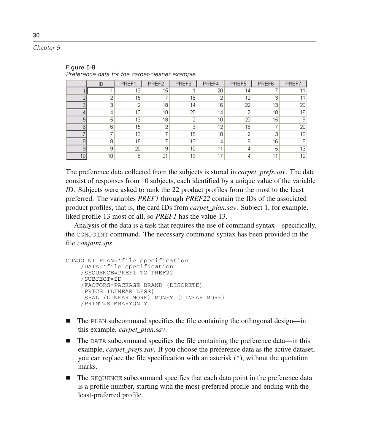<span id="page-37-0"></span>

| Chapter 5 |  |
|-----------|--|
|-----------|--|

| Figure 5-8 |  |
|------------|--|
|------------|--|

*Preference data for the carpet-cleaner example*

|        | ID | PREF1 | PREF <sub>2</sub> | PREF3 | PREF4 | PREF <sub>5</sub> | PREF <sub>6</sub> | PREF7 |
|--------|----|-------|-------------------|-------|-------|-------------------|-------------------|-------|
|        |    | 13    | 15,               |       | 20    | 14                |                   |       |
| $\sim$ | o  | 15.   | ⇁                 | 18    | э     | 12                | 3                 |       |
| э      | 3  | Э     | 18                | 14    | 16    | 22                | 13                | 20    |
|        | 4  | 13    | 10                | 20    | 14    | o                 | 18                | 16    |
| 5      | 5  | 13    | 18                | o     | 10    | 20                | 15                | 9     |
| គ      | 6  | 15    | o                 | 3     | 12    | 18                | <b>+</b>          | 20    |
|        | -  | 13    |                   | 15    | 18    | o                 | 3                 | 10    |
| 8      | 8  | 15.   |                   | 13    | 4     | 6                 | 16                | 8     |
| 9      | 9  | 20    | 9                 | 10    | 44    |                   | 5                 | 13    |
| 10     | 10 | 8     | 21                | 19    | 17    |                   | 4.4               | 12    |

The preference data collected from the subjects is stored in *carpet\_prefs.sav*. The data consist of responses from 10 subjects, each identified by a unique value of the variable *ID*. Subjects were asked to rank the 22 product profiles from the most to the least preferred. The variables *PREF1* through *PREF22* contain the IDs of the associated product profiles, that is, the card IDs from *carpet\_plan.sav*. Subject 1, for example, liked profile 13 most of all, so *PREF1* has the value 13.

Analysis of the data is a task that requires the use of command syntax—specifically, the CONJOINT command. The necessary command syntax has been provided in the file *conjoint.sps*.

```
CONJOINT PLAN='file specification'
   /DATA='file specification'
    /SEQUENCE=PREF1 TO PREF22
    /SUBJECT=ID
    /FACTORS=PACKAGE BRAND (DISCRETE)
     PRICE (LINEAR LESS)
     SEAL (LINEAR MORE) MONEY (LINEAR MORE)
    /PRINT=SUMMARYONLY.
```
- The PLAN subcommand specifies the file containing the orthogonal design—in this example, *carpet\_plan.sav*.
- The DATA subcommand specifies the file containing the preference data—in this example, *carpet prefs.sav*. If you choose the preference data as the active dataset, you can replace the file specification with an asterisk (\*), without the quotation marks.
- The SEQUENCE subcommand specifies that each data point in the preference data is a profile number, starting with the most-preferred profile and ending with the least-preferred profile.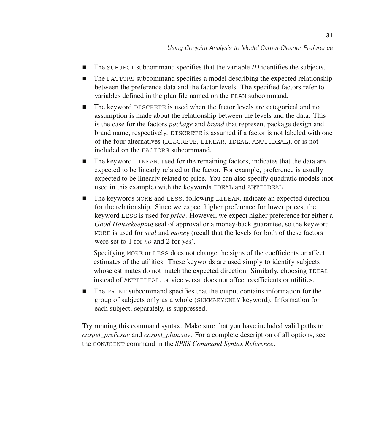- <span id="page-38-0"></span>■ The SUBJECT subcommand specifies that the variable *ID* identifies the subjects.
- The FACTORS subcommand specifies a model describing the expected relationship between the preference data and the factor levels. The specified factors refer to variables defined in the plan file named on the PLAN subcommand.
- The keyword DISCRETE is used when the factor levels are categorical and no assumption is made about the relationship between the levels and the data. This is the case for the factors *package* and *brand* that represent package design and brand name, respectively. DISCRETE is assumed if a factor is not labeled with one of the four alternatives (DISCRETE, LINEAR, IDEAL, ANTIIDEAL), or is not included on the FACTORS subcommand.
- The keyword LINEAR, used for the remaining factors, indicates that the data are expected to be linearly related to the factor. For example, preference is usually expected to be linearly related to price. You can also specify quadratic models (not used in this example) with the keywords IDEAL and ANTIIDEAL.
- **The keywords MORE and LESS, following LINEAR, indicate an expected direction** for the relationship. Since we expect higher preference for lower prices, the keyword LESS is used for *price*. However, we expect higher preference for either a *Good Housekeeping* seal of approval or a money-back guarantee, so the keyword MORE is used for *seal* and *money* (recall that the levels for both of these factors were set to 1 for *no* and 2 for *yes*).

Specifying MORE or LESS does not change the signs of the coefficients or affect estimates of the utilities. These keywords are used simply to identify subjects whose estimates do not match the expected direction. Similarly, choosing IDEAL instead of ANTIIDEAL, or vice versa, does not affect coefficients or utilities.

 The PRINT subcommand specifies that the output contains information for the group of subjects only as a whole (SUMMARYONLY keyword). Information for each subject, separately, is suppressed.

Try running this command syntax. Make sure that you have included valid paths to *carpet prefs.sav* and *carpet plan.sav.* For a complete description of all options, see the CONJOINT command in the *SPSS Command Syntax Reference*.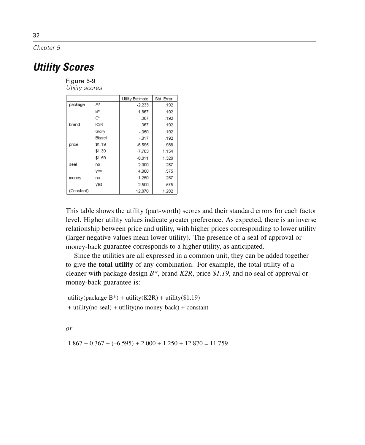# <span id="page-39-0"></span>*Utility Scores*

#### Figure 5-9

*Utility scores*

|            |                | Utility Estimate | Std. Error |
|------------|----------------|------------------|------------|
| package    | A*             | $-2.233$         | .192       |
|            | B*             | 1.867            | .192       |
|            | C*             | .367             | .192       |
| brand      | K2R            | .367             | .192       |
|            | Glory          | $-350$           | .192       |
|            | <b>Bissell</b> | $-0.017$         | .192       |
| price      | \$1.19         | $-6.595$         | .988       |
|            | \$1.39         | $-7.703$         | 1.154      |
|            | \$1.59         | $-8.811$         | 1.320      |
| seal       | no             | 2.000            | .287       |
|            | yes            | 4.000            | .575       |
| money      | no             | 1.250            | .287       |
|            | ves            | 2.500            | .575       |
| (Constant) |                | 12.870           | 1.282      |

This table shows the utility (part-worth) scores and their standard errors for each factor level. Higher utility values indicate greater preference. As expected, there is an inverse relationship between price and utility, with higher prices corresponding to lower utility (larger negative values mean lower utility). The presence of a seal of approval or money-back guarantee corresponds to a higher utility, as anticipated.

Since the utilities are all expressed in a common unit, they can be added together to give the **total utility** of any combination. For example, the total utility of a cleaner with package design *B\**, brand *K2R*, price *\$1.19*, and no seal of approval or money-back guarantee is:

utility(package  $B^*$ ) + utility(K2R) + utility(\$1.19) + utility(no seal) + utility(no money-back) + constant

*or*

 $1.867 + 0.367 + (-6.595) + 2.000 + 1.250 + 12.870 = 11.759$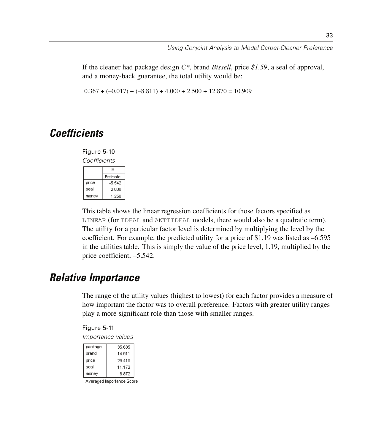*Using Conjoint Analysis to Model Carpet-Cleaner Preference*

<span id="page-40-0"></span>If the cleaner had package design *C\**, brand *Bissell*, price *\$1.59*, a seal of approval, and a money-back guarantee, the total utility would be:

 $0.367 + (-0.017) + (-8.811) + 4.000 + 2.500 + 12.870 = 10.909$ 

# *Coefficients*

Figure 5-10 *Coefficients*

| coemcients<br>A |          |  |  |  |
|-----------------|----------|--|--|--|
|                 | Estimate |  |  |  |
| price           | -5.542   |  |  |  |
| seal            | 2.000    |  |  |  |
| money           | 1.250    |  |  |  |

This table shows the linear regression coefficients for those factors specified as LINEAR (for IDEAL and ANTIIDEAL models, there would also be a quadratic term). The utility for a particular factor level is determined by multiplying the level by the coefficient. For example, the predicted utility for a price of \$1.19 was listed as –6.595 in the utilities table. This is simply the value of the price level, 1.19, multiplied by the price coefficient, –5.542.

# *Relative Importance*

The range of the utility values (highest to lowest) for each factor provides a measure of how important the factor was to overall preference. Factors with greater utility ranges play a more significant role than those with smaller ranges.

Figure 5-11

*Importance values*

| package | 35.635 |
|---------|--------|
| brand   | 14.911 |
| price   | 29.410 |
| seal    | 11.172 |
| money   | 8.872  |

Averaged Importance Score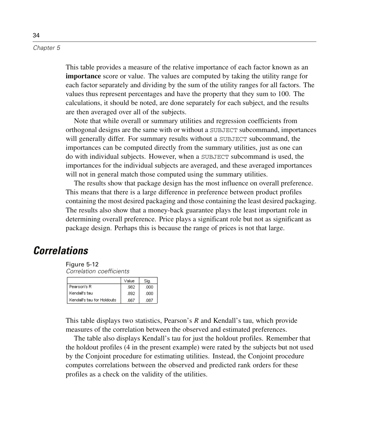<span id="page-41-0"></span>This table provides a measure of the relative importance of each factor known as an **importance** score or value. The values are computed by taking the utility range for each factor separately and dividing by the sum of the utility ranges for all factors. The values thus represent percentages and have the property that they sum to 100. The calculations, it should be noted, are done separately for each subject, and the results are then averaged over all of the subjects.

Note that while overall or summary utilities and regression coefficients from orthogonal designs are the same with or without a SUBJECT subcommand, importances will generally differ. For summary results without a SUBJECT subcommand, the importances can be computed directly from the summary utilities, just as one can do with individual subjects. However, when a SUBJECT subcommand is used, the importances for the individual subjects are averaged, and these averaged importances will not in general match those computed using the summary utilities.

The results show that package design has the most influence on overall preference. This means that there is a large difference in preference between product profiles containing the most desired packaging and those containing the least desired packaging. The results also show that a money-back guarantee plays the least important role in determining overall preference. Price plays a significant role but not as significant as package design. Perhaps this is because the range of prices is not that large.

## *Correlations*

Figure 5-12 *Correlation coefficients*

|                            | Value | Sia. |
|----------------------------|-------|------|
| Pearson's R                | .982  | .000 |
| Kendall's tau              | .892  | nnn  |
| Kendall's tau for Holdouts | 667   | .087 |

This table displays two statistics, Pearson's *R* and Kendall's tau, which provide measures of the correlation between the observed and estimated preferences.

The table also displays Kendall's tau for just the holdout profiles. Remember that the holdout profiles (4 in the present example) were rated by the subjects but not used by the Conjoint procedure for estimating utilities. Instead, the Conjoint procedure computes correlations between the observed and predicted rank orders for these profiles as a check on the validity of the utilities.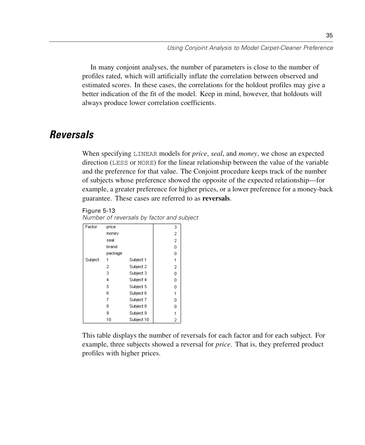<span id="page-42-0"></span>In many conjoint analyses, the number of parameters is close to the number of profiles rated, which will artificially inflate the correlation between observed and estimated scores. In these cases, the correlations for the holdout profiles may give a better indication of the fit of the model. Keep in mind, however, that holdouts will always produce lower correlation coefficients.

# *Reversals*

When specifying LINEAR models for *price*, *seal*, and *money*, we chose an expected direction (LESS or MORE) for the linear relationship between the value of the variable and the preference for that value. The Conjoint procedure keeps track of the number of subjects whose preference showed the opposite of the expected relationship—for example, a greater preference for higher prices, or a lower preference for a money-back guarantee. These cases are referred to as **reversals**.

#### Figure 5-13

*Number of reversals by factor and subject*

| Factor  | price   |            | 3 |
|---------|---------|------------|---|
|         | money   | 2          |   |
|         | seal    | 2          |   |
|         | brand   | 0          |   |
|         | package | 0          |   |
| Subject | 1       | Subject 1  | 1 |
|         | 2       | Subject 2  | 2 |
|         | 3       | Subject 3  | 0 |
|         | 4       | Subject 4  | 0 |
|         | 5       | Subject 5  | 0 |
|         | 6       | Subject 6  | 1 |
|         | 7       | Subject 7  | 0 |
|         | 8       | Subject 8  | 0 |
|         | 9       | Subject 9  | 1 |
|         | 10      | Subject 10 | 2 |

This table displays the number of reversals for each factor and for each subject. For example, three subjects showed a reversal for *price*. That is, they preferred product profiles with higher prices.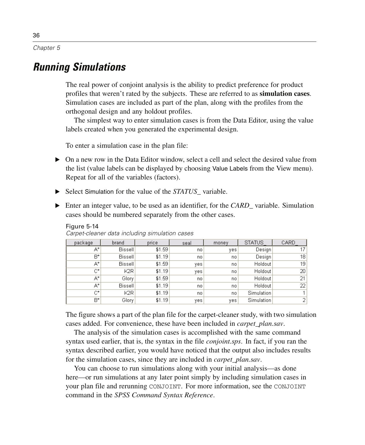# <span id="page-43-0"></span>*Running Simulations*

Figure 5-14

The real power of conjoint analysis is the ability to predict preference for product profiles that weren't rated by the subjects. These are referred to as **simulation cases**. Simulation cases are included as part of the plan, along with the profiles from the orthogonal design and any holdout profiles.

The simplest way to enter simulation cases is from the Data Editor, using the value labels created when you generated the experimental design.

To enter a simulation case in the plan file:

- $\triangleright$  On a new row in the Data Editor window, select a cell and select the desired value from the list (value labels can be displayed by choosing Value Labels from the View menu). Repeat for all of the variables (factors).
- E Select Simulation for the value of the *STATUS\_* variable.
- ► Enter an integer value, to be used as an identifier, for the *CARD*<sub>—</sub> variable. Simulation cases should be numbered separately from the other cases.

| package | brand           | price  | seal | money | <b>STATUS</b>     | CARD |
|---------|-----------------|--------|------|-------|-------------------|------|
| A*      | <b>Bissell</b>  | \$1.59 | no   | yes.  | Design            | 17   |
| B*      | <b>Bissell</b>  | \$1.19 | no   | no    | Design            | 18   |
| A*      | Bissell         | \$1.59 | ves  | no    | Holdout           | 19   |
| C*      | K2R             | \$1.19 | yes  | no    | Holdout           | 20   |
| A*      | Glory           | \$1.59 | no   | no    | Holdout           | 21   |
| A*      | Bissell         | \$1.19 | no   | no    | Holdout           | 22   |
| C*      | K <sub>2R</sub> | \$1.19 | no   | no    | <b>Simulation</b> |      |
| B*      | Glory           | \$1.19 | yes  | ves   | Simulation        | 2    |

*Carpet-cleaner data including simulation cases*

The figure shows a part of the plan file for the carpet-cleaner study, with two simulation cases added. For convenience, these have been included in *carpet\_plan.sav*.

The analysis of the simulation cases is accomplished with the same command syntax used earlier, that is, the syntax in the file *conjoint.sps*. In fact, if you ran the syntax described earlier, you would have noticed that the output also includes results for the simulation cases, since they are included in *carpet\_plan.sav*.

You can choose to run simulations along with your initial analysis—as done here—or run simulations at any later point simply by including simulation cases in your plan file and rerunning CONJOINT. For more information, see the CONJOINT command in the *SPSS Command Syntax Reference*.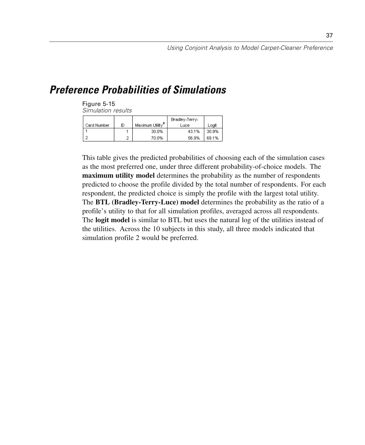# <span id="page-44-0"></span>*Preference Probabilities of Simulations*

#### Figure 5-15

*Simulation results*

|             |    |                              | Bradley-Terry- |       |
|-------------|----|------------------------------|----------------|-------|
| Card Number | ID | Maximum Utility <sup>a</sup> | Luce           | Logit |
|             |    | 30.0%                        | 43.1%          | 30.9% |
| Ð           |    | 70.0%                        | 56.9%          | 69.1% |

This table gives the predicted probabilities of choosing each of the simulation cases as the most preferred one, under three different probability-of-choice models. The **maximum utility model** determines the probability as the number of respondents predicted to choose the profile divided by the total number of respondents. For each respondent, the predicted choice is simply the profile with the largest total utility. The **BTL (Bradley-Terry-Luce) model** determines the probability as the ratio of a profile's utility to that for all simulation profiles, averaged across all respondents. The **logit model** is similar to BTL but uses the natural log of the utilities instead of the utilities. Across the 10 subjects in this study, all three models indicated that simulation profile 2 would be preferred.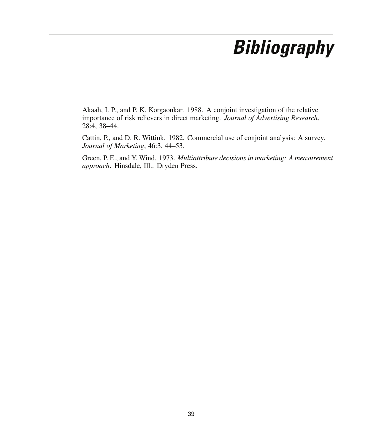# *Bibliography*

<span id="page-46-0"></span>Akaah, I. P., and P. K. Korgaonkar. 1988. A conjoint investigation of the relative importance of risk relievers in direct marketing. *Journal of Advertising Research*, 28:4, 38–44.

Cattin, P., and D. R. Wittink. 1982. Commercial use of conjoint analysis: A survey. *Journal of Marketing*, 46:3, 44–53.

Green, P. E., and Y. Wind. 1973. *Multiattribute decisions in marketing: A measurement approach*. Hinsdale, Ill.: Dryden Press.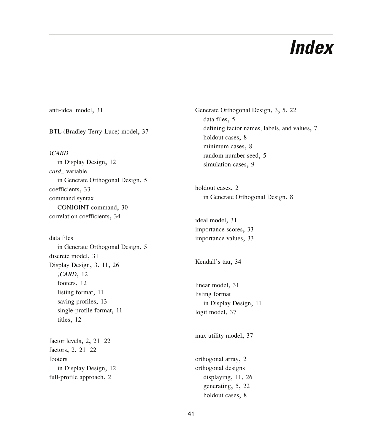# *Index*

<span id="page-48-0"></span>anti-ideal model, [31](#page-38-0) BTL (Bradley-Terry-Luce) model, [37](#page-44-0) *)CARD* in Display Design, [12](#page-19-0) *card\_* variable in Generate Orthogonal Design, [5](#page-12-0) coefficients, [33](#page-40-0) command syntax CONJOINT command, [30](#page-37-0) correlation coefficients, [34](#page-41-0) data files

in Generate Orthogonal Design, [5](#page-12-0) discrete model, [31](#page-38-0) Display Design, [3](#page-10-0), [11,](#page-18-0) [26](#page-33-0) *)CARD*, [12](#page-19-0) footers, [12](#page-19-0) listing format, [11](#page-18-0) saving profiles, [13](#page-20-0) single-profile format, [11](#page-18-0) titles, [12](#page-19-0)

factor levels, [2](#page-9-0), [21–](#page-28-0)[22](#page-29-0) factors, [2,](#page-9-0) [21–](#page-28-0)[22](#page-29-0) footers in Display Design, [12](#page-19-0) full-profile approach, [2](#page-9-0)

Generate Orthogonal Design, [3,](#page-10-0) [5,](#page-12-0) [22](#page-29-0) data files, [5](#page-12-0) defining factor names, labels, and values, [7](#page-14-0) holdout cases, [8](#page-15-0) minimum cases, [8](#page-15-0) random number seed, [5](#page-12-0) simulation cases, [9](#page-16-0)

holdout cases, [2](#page-9-0) in Generate Orthogonal Design, [8](#page-15-0)

ideal model, [31](#page-38-0) importance scores, [33](#page-40-0) importance values, [33](#page-40-0)

Kendall's tau, [34](#page-41-0)

linear model, [31](#page-38-0) listing format in Display Design, [11](#page-18-0) logit model, [37](#page-44-0)

max utility model, [37](#page-44-0)

orthogonal array, [2](#page-9-0) orthogonal designs displaying, [11](#page-18-0), [26](#page-33-0) generating, [5,](#page-12-0) [22](#page-29-0) holdout cases, [8](#page-15-0)